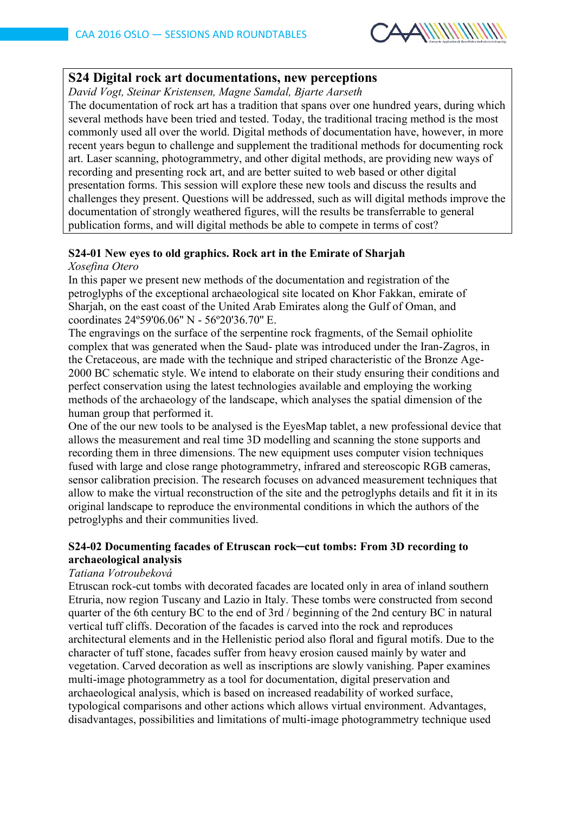

## **S24 Digital rock art documentations, new perceptions**

*David Vogt, Steinar Kristensen, Magne Samdal, Bjarte Aarseth*

The documentation of rock art has a tradition that spans over one hundred years, during which several methods have been tried and tested. Today, the traditional tracing method is the most commonly used all over the world. Digital methods of documentation have, however, in more recent years begun to challenge and supplement the traditional methods for documenting rock art. Laser scanning, photogrammetry, and other digital methods, are providing new ways of recording and presenting rock art, and are better suited to web based or other digital presentation forms. This session will explore these new tools and discuss the results and challenges they present. Questions will be addressed, such as will digital methods improve the documentation of strongly weathered figures, will the results be transferrable to general publication forms, and will digital methods be able to compete in terms of cost?

# **S24-01 New eyes to old graphics. Rock art in the Emirate of Sharjah**

*Xosefina Otero* 

In this paper we present new methods of the documentation and registration of the petroglyphs of the exceptional archaeological site located on Khor Fakkan, emirate of Sharjah, on the east coast of the United Arab Emirates along the Gulf of Oman, and coordinates 24º59'06.06'' N - 56º20'36.70'' E.

The engravings on the surface of the serpentine rock fragments, of the Semail ophiolite complex that was generated when the Saud- plate was introduced under the Iran-Zagros, in the Cretaceous, are made with the technique and striped characteristic of the Bronze Age-2000 BC schematic style. We intend to elaborate on their study ensuring their conditions and perfect conservation using the latest technologies available and employing the working methods of the archaeology of the landscape, which analyses the spatial dimension of the human group that performed it.

One of the our new tools to be analysed is the EyesMap tablet, a new professional device that allows the measurement and real time 3D modelling and scanning the stone supports and recording them in three dimensions. The new equipment uses computer vision techniques fused with large and close range photogrammetry, infrared and stereoscopic RGB cameras, sensor calibration precision. The research focuses on advanced measurement techniques that allow to make the virtual reconstruction of the site and the petroglyphs details and fit it in its original landscape to reproduce the environmental conditions in which the authors of the petroglyphs and their communities lived.

## **S24-02 Documenting facades of Etruscan rock─cut tombs: From 3D recording to archaeological analysis**

## *Tatiana Votroubeková*

Etruscan rock-cut tombs with decorated facades are located only in area of inland southern Etruria, now region Tuscany and Lazio in Italy. These tombs were constructed from second quarter of the 6th century BC to the end of 3rd / beginning of the 2nd century BC in natural vertical tuff cliffs. Decoration of the facades is carved into the rock and reproduces architectural elements and in the Hellenistic period also floral and figural motifs. Due to the character of tuff stone, facades suffer from heavy erosion caused mainly by water and vegetation. Carved decoration as well as inscriptions are slowly vanishing. Paper examines multi-image photogrammetry as a tool for documentation, digital preservation and archaeological analysis, which is based on increased readability of worked surface, typological comparisons and other actions which allows virtual environment. Advantages, disadvantages, possibilities and limitations of multi-image photogrammetry technique used